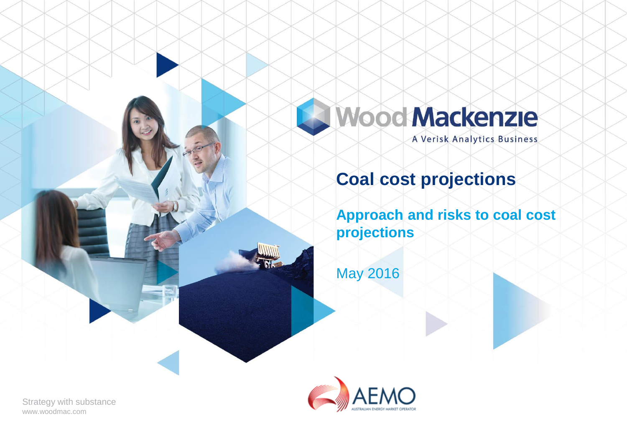# **Wood Mackenzie**

A Verisk Analytics Business

## **Coal cost projections**

**Approach and risks to coal cost projections**

May 2016



Strategy with substance www.woodmac.com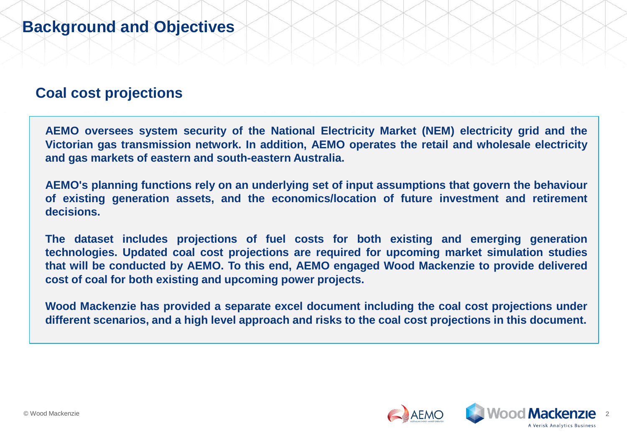### **Coal cost projections**

**AEMO oversees system security of the National Electricity Market (NEM) electricity grid and the Victorian gas transmission network. In addition, AEMO operates the retail and wholesale electricity and gas markets of eastern and south-eastern Australia.**

**AEMO's planning functions rely on an underlying set of input assumptions that govern the behaviour of existing generation assets, and the economics/location of future investment and retirement decisions.**

**The dataset includes projections of fuel costs for both existing and emerging generation technologies. Updated coal cost projections are required for upcoming market simulation studies that will be conducted by AEMO. To this end, AEMO engaged Wood Mackenzie to provide delivered cost of coal for both existing and upcoming power projects.**

**Wood Mackenzie has provided a separate excel document including the coal cost projections under different scenarios, and a high level approach and risks to the coal cost projections in this document.**

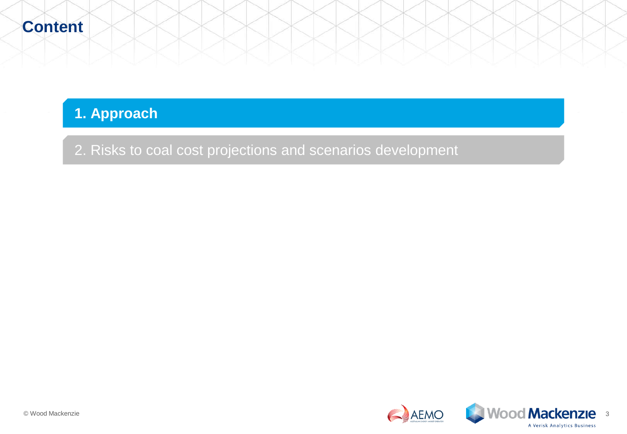### **1. Approach**

2. Risks to coal cost projections and scenarios development

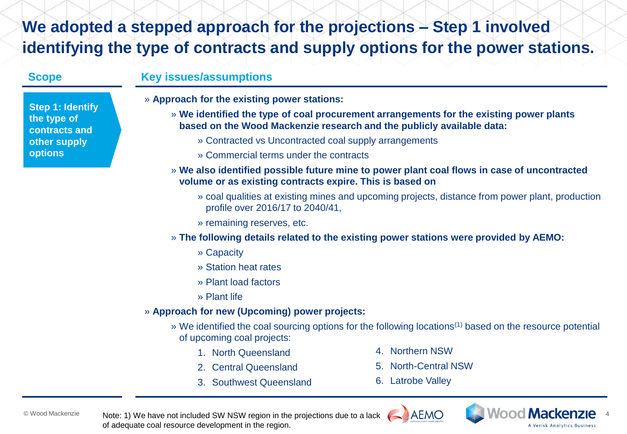### **We adopted a stepped approach for the projections – Step 1 involved identifying the type of contracts and supply options for the power stations.**

**Step 1: Identify the type of contracts and other supply options**

### **Scope Key issues/assumptions**

- » **Approach for the existing power stations:**
	- » **We identified the type of coal procurement arrangements for the existing power plants based on the Wood Mackenzie research and the publicly available data:**
		- » Contracted vs Uncontracted coal supply arrangements
		- » Commercial terms under the contracts
	- » **We also identified possible future mine to power plant coal flows in case of uncontracted volume or as existing contracts expire. This is based on** 
		- » coal qualities at existing mines and upcoming projects, distance from power plant, production profile over 2016/17 to 2040/41,
		- » remaining reserves, etc.
	- » **The following details related to the existing power stations were provided by AEMO:**
		- » Capacity
		- » Station heat rates
		- » Plant load factors
		- » Plant life

#### » **Approach for new (Upcoming) power projects:**

- » We identified the coal sourcing options for the following locations(1) based on the resource potential of upcoming coal projects:
	- 1. North Queensland
	- 2. Central Queensland
	- 3. Southwest Queensland
- 4. Northern NSW
- 5. North-Central NSW
- 6. Latrobe Valley



© Wood Mackenzie Mote: 1) We have not included SW NSW region in the projections due to a lack ALAHO NOOCH MACKENZIE of adequate coal resource development in the region.



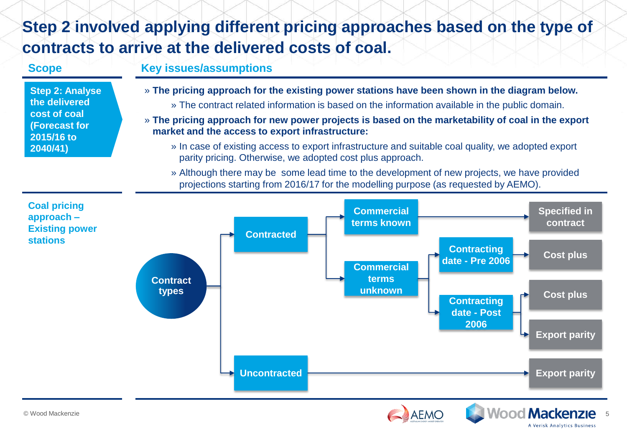## **Step 2 involved applying different pricing approaches based on the type of contracts to arrive at the delivered costs of coal.**

#### **Step 2: Analyse the delivered cost of coal (Forecast for 2015/16 to 2040/41) Scope Key issues/assumptions** » **The pricing approach for the existing power stations have been shown in the diagram below.** » The contract related information is based on the information available in the public domain. » **The pricing approach for new power projects is based on the marketability of coal in the export market and the access to export infrastructure:** » In case of existing access to export infrastructure and suitable coal quality, we adopted export parity pricing. Otherwise, we adopted cost plus approach. » Although there may be some lead time to the development of new projects, we have provided projections starting from 2016/17 for the modelling purpose (as requested by AEMO). **Coal pricing approach – Existing power stations Contract types Contracted Uncontracted Contracting date - Pre 2006 Contracting date - Post 2006 Commercial terms known Commercial terms unknown Specified in contract Cost plus Cost plus Export parity Export parity**



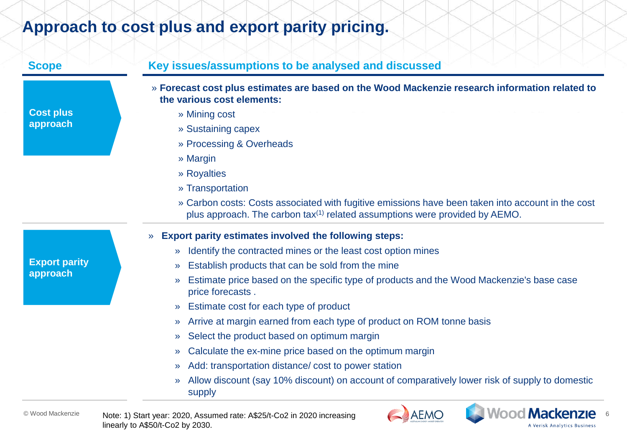### **Approach to cost plus and export parity pricing.**

|                                  | » Forecast cost plus estimates are based on the Wood Mackenzie research information related to<br>the various cost elements:                                                                 |
|----------------------------------|----------------------------------------------------------------------------------------------------------------------------------------------------------------------------------------------|
| <b>Cost plus</b>                 | » Mining cost                                                                                                                                                                                |
| approach                         | » Sustaining capex                                                                                                                                                                           |
|                                  | » Processing & Overheads                                                                                                                                                                     |
|                                  | » Margin                                                                                                                                                                                     |
|                                  | » Royalties                                                                                                                                                                                  |
|                                  | » Transportation                                                                                                                                                                             |
|                                  | » Carbon costs: Costs associated with fugitive emissions have been taken into account in the cost<br>plus approach. The carbon tax <sup>(1)</sup> related assumptions were provided by AEMO. |
|                                  | <b>Export parity estimates involved the following steps:</b><br>$\lambda$                                                                                                                    |
|                                  | Identify the contracted mines or the least cost option mines<br>$\lambda$                                                                                                                    |
| <b>Export parity</b><br>approach | Establish products that can be sold from the mine<br>$\mathcal{P}$                                                                                                                           |
|                                  | Estimate price based on the specific type of products and the Wood Mackenzie's base case<br>$\mathcal{P}$<br>price forecasts.                                                                |
|                                  | » Estimate cost for each type of product                                                                                                                                                     |
|                                  | Arrive at margin earned from each type of product on ROM tonne basis<br>$\mathcal{P}$                                                                                                        |
|                                  | Select the product based on optimum margin<br>$\mathcal{P}$                                                                                                                                  |
|                                  | Calculate the ex-mine price based on the optimum margin<br>$\mathcal{P}$                                                                                                                     |
|                                  | Add: transportation distance/cost to power station<br>$\mathcal{P}$                                                                                                                          |
|                                  | Allow discount (say 10% discount) on account of comparatively lower risk of supply to domestic<br>$\mathcal{P}$<br>supply                                                                    |

A Verisk Analytics Business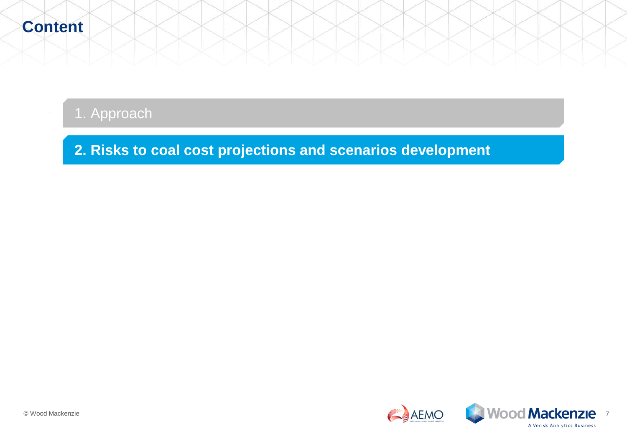### 1. Approach

**2. Risks to coal cost projections and scenarios development**

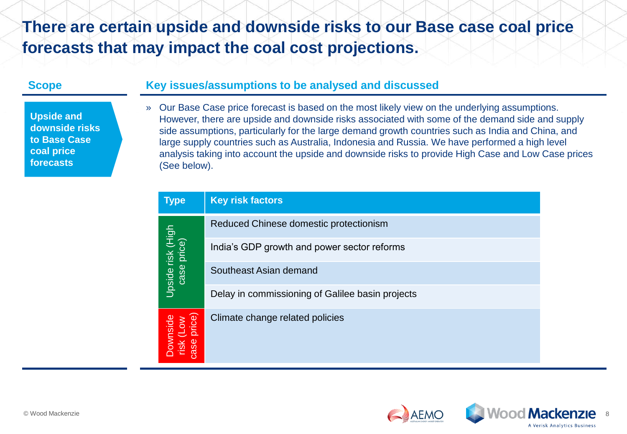### **There are certain upside and downside risks to our Base case coal price forecasts that may impact the coal cost projections.**

**Upside and downside risks to Base Case coal price forecasts**

#### **Scope Key issues/assumptions to be analysed and discussed**

» Our Base Case price forecast is based on the most likely view on the underlying assumptions. However, there are upside and downside risks associated with some of the demand side and supply side assumptions, particularly for the large demand growth countries such as India and China, and large supply countries such as Australia, Indonesia and Russia. We have performed a high level analysis taking into account the upside and downside risks to provide High Case and Low Case prices (See below).

| <b>Type</b>                                  | <b>Key risk factors</b>                          |
|----------------------------------------------|--------------------------------------------------|
| Upside risk (High<br>case price)             | Reduced Chinese domestic protectionism           |
|                                              | India's GDP growth and power sector reforms      |
|                                              | Southeast Asian demand                           |
|                                              | Delay in commissioning of Galilee basin projects |
| Downside<br>risk (Low<br>;ase price)<br>case | Climate change related policies                  |

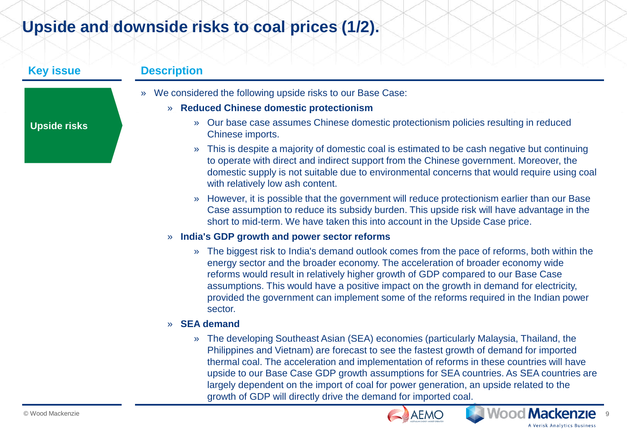### **Upside and downside risks to coal prices (1/2).**

**Upside risks**

#### **Key issue Description**

» We considered the following upside risks to our Base Case:

#### » **Reduced Chinese domestic protectionism**

- » Our base case assumes Chinese domestic protectionism policies resulting in reduced Chinese imports.
- » This is despite a majority of domestic coal is estimated to be cash negative but continuing to operate with direct and indirect support from the Chinese government. Moreover, the domestic supply is not suitable due to environmental concerns that would require using coal with relatively low ash content.
- » However, it is possible that the government will reduce protectionism earlier than our Base Case assumption to reduce its subsidy burden. This upside risk will have advantage in the short to mid-term. We have taken this into account in the Upside Case price.

#### » **India's GDP growth and power sector reforms**

» The biggest risk to India's demand outlook comes from the pace of reforms, both within the energy sector and the broader economy. The acceleration of broader economy wide reforms would result in relatively higher growth of GDP compared to our Base Case assumptions. This would have a positive impact on the growth in demand for electricity, provided the government can implement some of the reforms required in the Indian power sector.

#### » **SEA demand**

» The developing Southeast Asian (SEA) economies (particularly Malaysia, Thailand, the Philippines and Vietnam) are forecast to see the fastest growth of demand for imported thermal coal. The acceleration and implementation of reforms in these countries will have upside to our Base Case GDP growth assumptions for SEA countries. As SEA countries are largely dependent on the import of coal for power generation, an upside related to the growth of GDP will directly drive the demand for imported coal.





**A Verisk Analytics Business**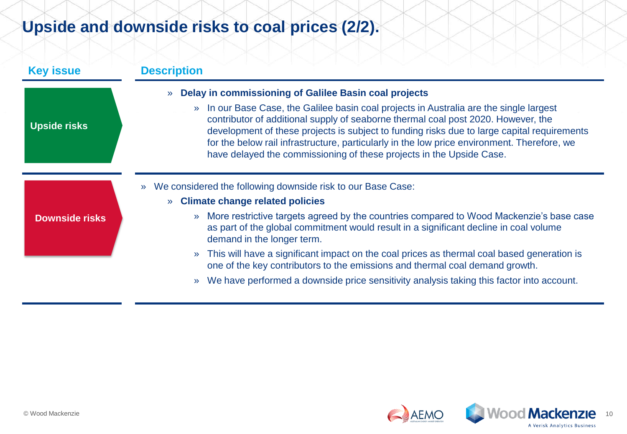## **Upside and downside risks to coal prices (2/2).**

| <b>Key issue</b>      | <b>Description</b>                                                                                                                                                                                                                                                                                                                                                                                                                                                |
|-----------------------|-------------------------------------------------------------------------------------------------------------------------------------------------------------------------------------------------------------------------------------------------------------------------------------------------------------------------------------------------------------------------------------------------------------------------------------------------------------------|
|                       | Delay in commissioning of Galilee Basin coal projects<br>$\mathcal{V}$                                                                                                                                                                                                                                                                                                                                                                                            |
| <b>Upside risks</b>   | In our Base Case, the Galilee basin coal projects in Australia are the single largest<br>$\mathcal{V}$<br>contributor of additional supply of seaborne thermal coal post 2020. However, the<br>development of these projects is subject to funding risks due to large capital requirements<br>for the below rail infrastructure, particularly in the low price environment. Therefore, we<br>have delayed the commissioning of these projects in the Upside Case. |
|                       | We considered the following downside risk to our Base Case:<br>$\mathbf{v}$                                                                                                                                                                                                                                                                                                                                                                                       |
|                       | <b>Climate change related policies</b>                                                                                                                                                                                                                                                                                                                                                                                                                            |
| <b>Downside risks</b> | More restrictive targets agreed by the countries compared to Wood Mackenzie's base case<br>$\lambda$<br>as part of the global commitment would result in a significant decline in coal volume<br>demand in the longer term.                                                                                                                                                                                                                                       |
|                       | This will have a significant impact on the coal prices as thermal coal based generation is<br>$\mathcal{V}$<br>one of the key contributors to the emissions and thermal coal demand growth.                                                                                                                                                                                                                                                                       |
|                       | We have performed a downside price sensitivity analysis taking this factor into account.<br>$\mathcal{V}$                                                                                                                                                                                                                                                                                                                                                         |

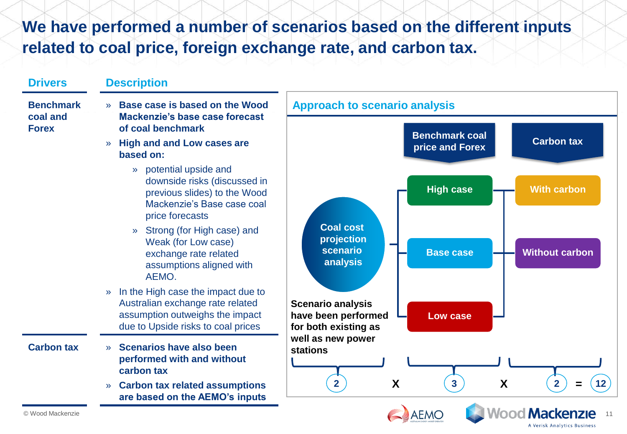### **We have performed a number of scenarios based on the different inputs related to coal price, foreign exchange rate, and carbon tax.**

| <b>Drivers</b>                               | <b>Description</b>                                                                                                                                                                                                                                         |
|----------------------------------------------|------------------------------------------------------------------------------------------------------------------------------------------------------------------------------------------------------------------------------------------------------------|
| <b>Benchmark</b><br>coal and<br><b>Forex</b> | Base case is based on the Wood<br><b>Approach to scenario analysis</b><br>Mackenzie's base case forecast                                                                                                                                                   |
|                                              | of coal benchmark<br><b>Benchmark coal</b>                                                                                                                                                                                                                 |
|                                              | <b>Carbon tax</b><br><b>High and and Low cases are</b><br>$\sum$<br>price and Forex<br>based on:                                                                                                                                                           |
|                                              | potential upside and<br>$\mathbf{v}$<br>downside risks (discussed in<br><b>High case</b><br><b>With carbon</b><br>previous slides) to the Wood<br>Mackenzie's Base case coal<br>price forecasts                                                            |
|                                              | <b>Coal cost</b><br>Strong (for High case) and<br>$\mathcal{V}$<br>projection<br>Weak (for Low case)<br>scenario<br><b>Without carbon</b><br><b>Base case</b><br>exchange rate related<br>analysis<br>assumptions aligned with<br>AEMO.                    |
|                                              | In the High case the impact due to<br>$\lambda$<br>Australian exchange rate related<br><b>Scenario analysis</b><br>assumption outweighs the impact<br>have been performed<br><b>Low case</b><br>due to Upside risks to coal prices<br>for both existing as |
| <b>Carbon tax</b>                            | well as new power<br>Scenarios have also been<br>$\mathcal{P}$<br><b>stations</b><br>performed with and without<br>carbon tax                                                                                                                              |
|                                              | 3 <sup>1</sup><br>$\overline{2}$<br>X<br>X<br>2 <sup>1</sup><br>12<br><b>Carbon tax related assumptions</b><br>$\mathcal{D}$<br>are based on the AEMO's inputs                                                                                             |
| © Wood Mackenzie                             | Wood Mackenzie<br><b>AEMO</b>                                                                                                                                                                                                                              |

A Verisk Analytics Business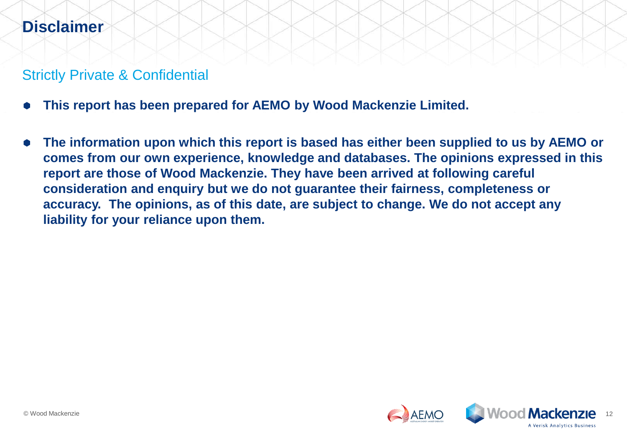### **Disclaimer**

### Strictly Private & Confidential

- **This report has been prepared for AEMO by Wood Mackenzie Limited.**
- **The information upon which this report is based has either been supplied to us by AEMO or comes from our own experience, knowledge and databases. The opinions expressed in this report are those of Wood Mackenzie. They have been arrived at following careful consideration and enquiry but we do not guarantee their fairness, completeness or accuracy. The opinions, as of this date, are subject to change. We do not accept any liability for your reliance upon them.**